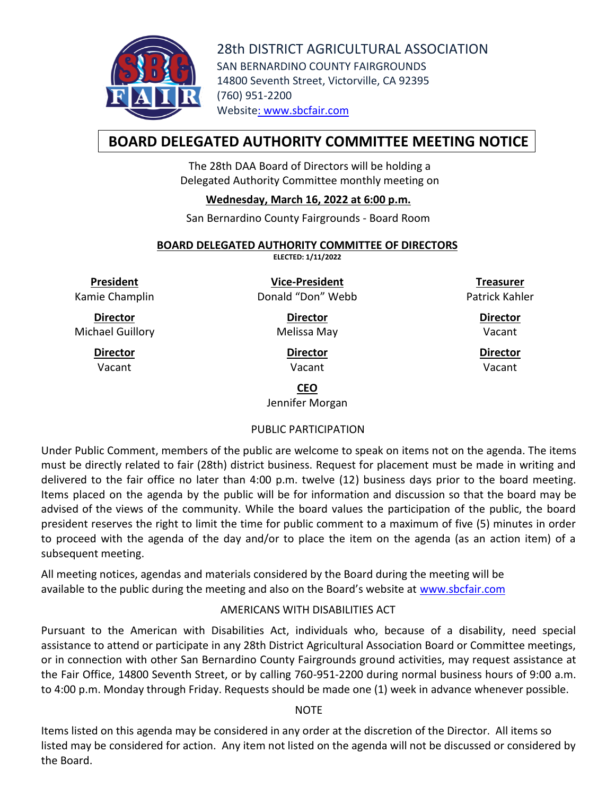

28th DISTRICT AGRICULTURAL ASSOCIATION SAN BERNARDINO COUNTY FAIRGROUNDS 14800 Seventh Street, Victorville, CA 92395 (760) 951-2200 Website: [www.sbcfair.com](http://www.sbcfair.com/)

# **BOARD DELEGATED AUTHORITY COMMITTEE MEETING NOTICE**

The 28th DAA Board of Directors will be holding a Delegated Authority Committee monthly meeting on

## **Wednesday, March 16, 2022 at 6:00 p.m.**

San Bernardino County Fairgrounds - Board Room

#### **BOARD DELEGATED AUTHORITY COMMITTEE OF DIRECTORS**

**ELECTED: 1/11/2022**

**President** Kamie Champlin

**Director** Michael Guillory

> **Director** Vacant

**Vice-President** Donald "Don" Webb

> **Director** Melissa May

> > **Director** Vacant

**Treasurer** Patrick Kahler

> **Director** Vacant

> **Director** Vacant

**CEO**

Jennifer Morgan

## PUBLIC PARTICIPATION

Under Public Comment, members of the public are welcome to speak on items not on the agenda. The items must be directly related to fair (28th) district business. Request for placement must be made in writing and delivered to the fair office no later than 4:00 p.m. twelve (12) business days prior to the board meeting. Items placed on the agenda by the public will be for information and discussion so that the board may be advised of the views of the community. While the board values the participation of the public, the board president reserves the right to limit the time for public comment to a maximum of five (5) minutes in order to proceed with the agenda of the day and/or to place the item on the agenda (as an action item) of a subsequent meeting.

All meeting notices, agendas and materials considered by the Board during the meeting will be available to the public during the meeting and also on the Board's website at [www.sbcfair.com](http://www.sbcfair.com/)

## AMERICANS WITH DISABILITIES ACT

Pursuant to the American with Disabilities Act, individuals who, because of a disability, need special assistance to attend or participate in any 28th District Agricultural Association Board or Committee meetings, or in connection with other San Bernardino County Fairgrounds ground activities, may request assistance at the Fair Office, 14800 Seventh Street, or by calling 760-951-2200 during normal business hours of 9:00 a.m. to 4:00 p.m. Monday through Friday. Requests should be made one (1) week in advance whenever possible.

**NOTE** 

Items listed on this agenda may be considered in any order at the discretion of the Director. All items so listed may be considered for action. Any item not listed on the agenda will not be discussed or considered by the Board.